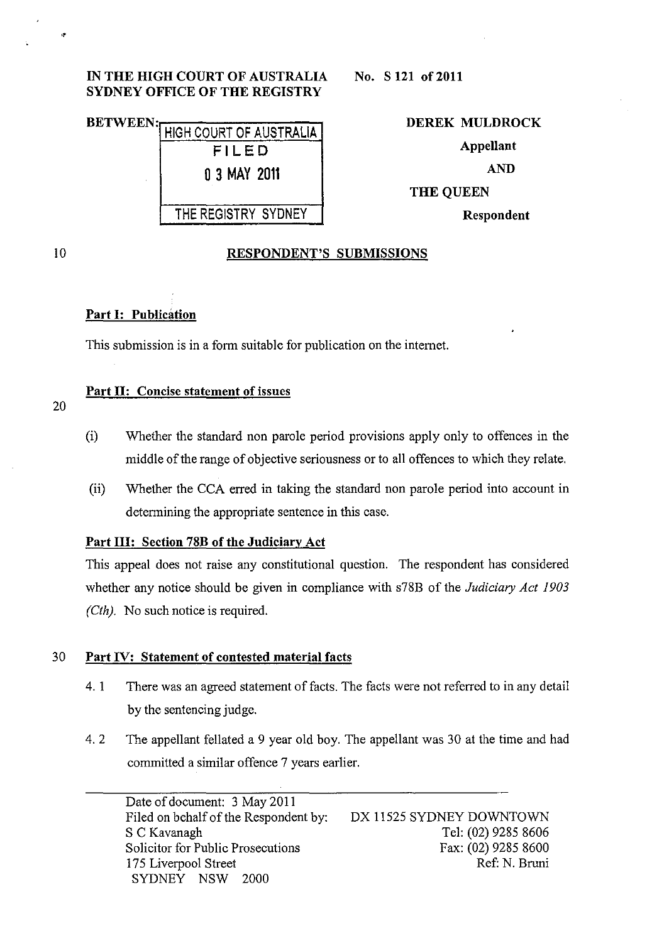#### IN THE HIGH COURT OF AUSTRALIA SYDNEY OFFICE OF THE REGISTRY

# BETWEEN: HIGH COURT OF AUSTRALIA FILED o 3 MAY 2011 THE REGISTRY SYDNEY

DEREK MULDROCK Appellant AND THE QUEEN Respondent

10

"

 $\ddot{\phantom{a}}$ 

#### RESPONDENT'S SUBMISSIONS

# Part I: Publication

This submission is in a form suitable for publication on the internet.

## Part II: Concise statement of issues

- 20
- (i) Whether the standard non parole period provisions apply only to offences in the middle of the range of objective seriousness or to all offences to which they relate.
- (ii) Whether the CCA erred in taking the standard non parole period into account in determining the appropriate sentence in this case.

# Part III: Section 78B of the Judiciary Act

This appeal does not raise any constitutional question. The respondent has considered whether any notice should be given in compliance with s78B of the *Judiciary Act 1903 (Cth).* No such notice is required.

## 30 Part IV: Statement of contested material facts

- 4. 1 There was an agreed statement of facts. The facts were not referred to in any detail by the sentencing judge.
- 4. 2 The appellant fellated a 9 year old boy. The appellant was 30 at the time and had committed a similar offence 7 years earlier.

Date of document: 3 May 2011 Filed on behalf of the Respondent by: S C Kavanagh Solicitor for Public Prosecutions 175 Liverpool Street SYDNEY NSW 2000

DX 11525 SYDNEY DOWNTOWN Tel: (02) 9285 8606 Fax: (02) 9285 8600 Ref: N. Bruni

No. S 121 of 2011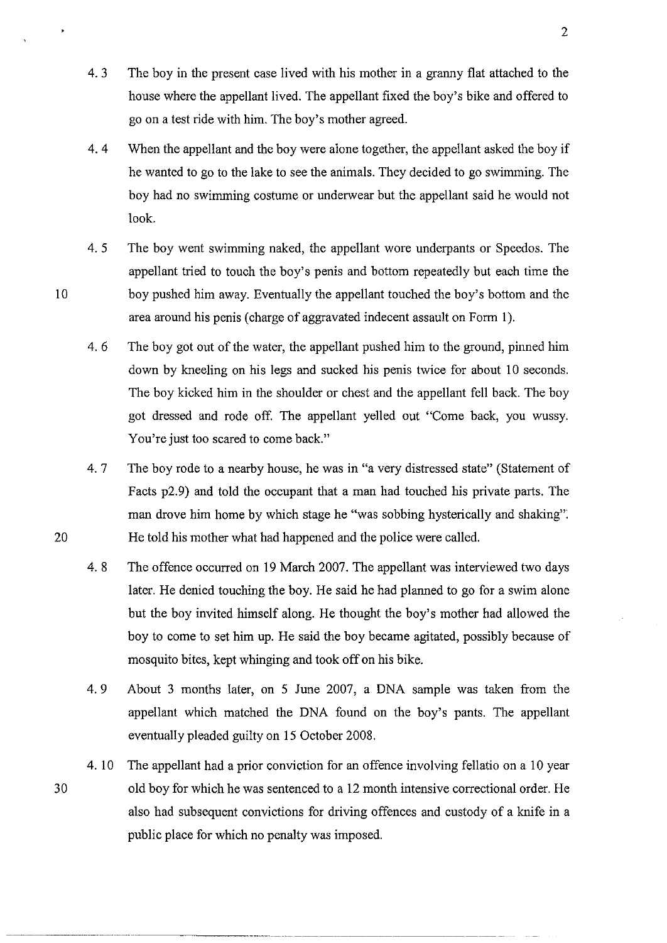- 4. 3 The boy in the present case lived with his mother in a granny flat attached to the house where the appellant lived. The appellant fixed the boy's bike and offered to go on a test ride with him. The boy's mother agreed.
- 4. 4 When the appellant and the boy were alone together, the appellant asked the boy if he wanted to go to the lake to see the animals. They decided to go swimming. The boy had no swimming costume or underwear but the appellant said he would not look.
- 4. 5 The boy went swimming naked, the appellant wore underpants or Speedos. The appellant tried to touch the boy's penis and bottom repeatedly but each time the 10 boy pushed him away. Eventually the appellant touched the boy's bottom and the area around his penis (charge of aggravated indecent assault on Form 1).
	- 4. 6 The boy got out of the water, the appellant pushed him to the ground, pinned him down by kneeling on his legs and sucked his penis twice for about 10 seconds. The boy kicked him in the shoulder or chest and the appellant fell back. The boy got dressed and rode off. The appellant yelled out "Come back, you wussy. You're just too scared to come back."
- 4. 7 The boy rode to a nearby house, he was in "a very distressed state" (Statement of Facts p2.9) and told the occupant that a man had touched his private parts. The man drove him home by which stage he "was sobbing hysterically and shaking": 20 He told his mother what had happened and the police were called.
	- 4.8 The offence occurred on 19 March 2007. The appellant was interviewed two days later. He denied touching the boy. He said he had planned to go for a swim alone but the boy invited himself along. He thought the boy's mother had allowed the boy to come to set him up. He said the boy became agitated, possibly because of mosquito bites, kept whinging and took off on his bike.
	- 4.9 About 3 months later, on 5 June 2007, a DNA sample was taken from the appellant which matched the DNA found on the boy's pants. The appellant eventually pleaded guilty on 15 October 2008.
	- 4. 10 The appellant had a prior conviction for an offence involving fellatio on a 10 year old boy for which he was sentenced to a 12 month intensive correctional order. He also had subsequent convictions for driving offences and custody of a knife in a public place for which no penalty was imposed.

-----.\_. \_\_ .. \_---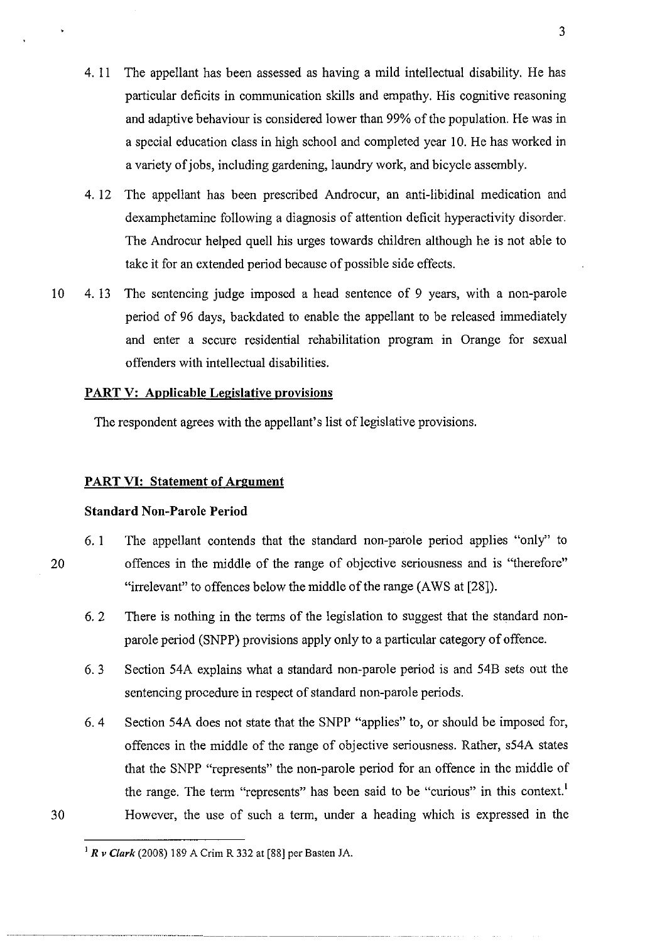- 4. 11 The appellant has been assessed as having a mild intellectual disability. He has particular deficits in communication skills and empathy. His cognitive reasoning and adaptive behaviour is considered lower than 99% of the population. He was in a special education class in high school and completed year 10. He has worked in a variety of jobs, including gardening, laundry work, and bicycle assembly.
- 4. 12 The appellant has been prescribed Androcur, an anti-libidinal medication and dexamphetamine following a diagnosis of attention deficit hyperactivity disorder. The Androcur helped quell his urges towards children although he is not able to take it for an extended period because of possible side effects.
- 10 4. 13 The sentencing judge imposed a head sentence of 9 years, with a non-parole period of 96 days, backdated to enable the appellant to be released immediately and enter a secure residential rehabilitation program in Orange for sexual offenders with intellectual disabilities.

#### **PART V: Applicable Legislative provisions**

The respondent agrees with the appellant's list of legislative provisions.

#### **PART VI: Statement of Argument**

#### **Standard Non-Parole Period**

- 6. 1 The appellant contends that the standard non-parole period applies "only" to 20 offences in the middle of the range of objective seriousness and is "therefore" "irrelevant" to offences below the middle of the range (AWS at [28]).
	- 6. 2 There is nothing in the terms of the legislation to suggest that the standard nonparole period (SNPP) provisions apply only to a particular category of offence.
	- 6. 3 Section 54A explains what a standard non-parole period is and 54B sets out the sentencing procedure in respect of standard non-parole periods.
	- 6. 4 Section 54A does not state that the SNPP "applies" to, or should be imposed for, offences in the middle of the range of objective seriousness. Rather, s54A states that the SNPP "represents" the non-parole period for an offence in the middle of the range. The term "represents" has been said to be "curious" in this context.' However, the use of such a term, under a heading which is expressed in the

I *R v Clark* (2008) 189 A Crim R 332 at [88] per Basten JA.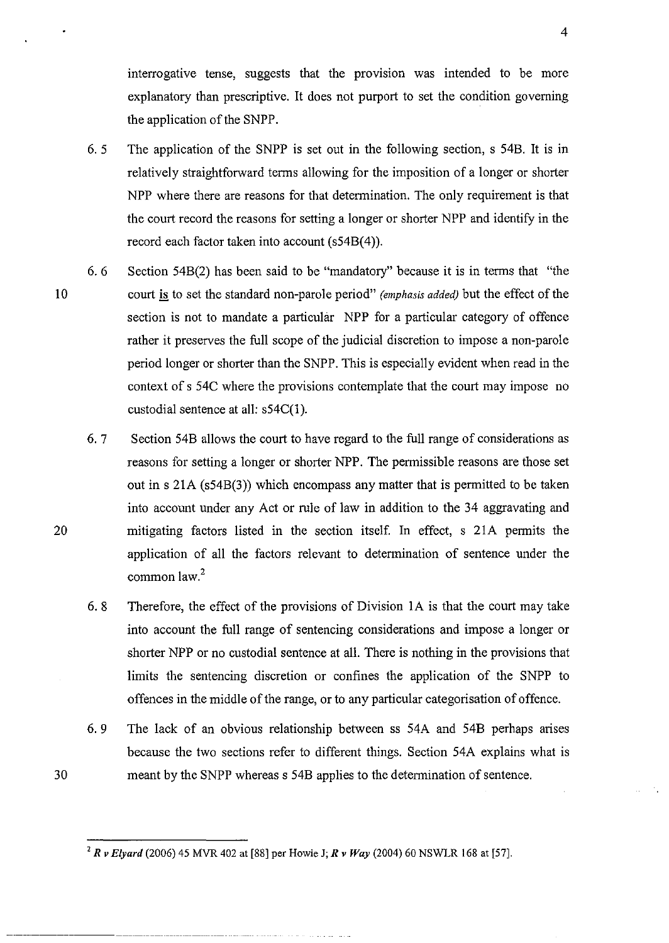interrogative tense, suggests that the provision was intended to be more explanatory than prescriptive. It does not purport to set the condition governing the application of the SNPP.

- 6. 5 The application of the SNPP is set out in the following section, s 54B. It is in relatively straightforward terms allowing for the imposition of a longer or shorter NPP where there are reasons for that determination. The only requirement is that the court record the reasons for setting a longer or shorter NPP and identify in the record each factor taken into account (s548(4)).
- 6. 6 Section 548(2) has been said to be "mandatory" because it is in terms that "the 10 court is to set the standard non-parole period" *(emphasis added)* but the effect of the section is not to mandate a particular NPP for a particular category of offence rather it preserves the full scope of the judicial discretion to impose a non-parole period longer or shorter than the SNPP. This is especially evident when read in the context of s 54C where the provisions contemplate that the court may impose no custodial sentence at all: s54C(1).

6. 7 Section 548 allows the court to have regard to the full range of considerations as reasons for setting a longer or shorter NPP. The permissible reasons are those set out in s 21A (s548(3)) which encompass any matter that is permitted to be taken into account under any Act or rule of law in addition to the 34 aggravating and mitigating factors listed in the section itself. In effect, s 2lA permits the application of all the factors relevant to determination of sentence under the common law.<sup>2</sup>

6. 8 Therefore, the effect of the provisions of Division lA is that the court may take into account the full range of sentencing considerations and impose a longer or shorter NPP or no custodial sentence at all. There is nothing in the provisions that limits the sentencing discretion or confines the application of the SNPP to offences in the middle of the range, or to any particular categorisation of offence.

6. 9 The lack of an obvious relationship between ss 54A and 548 perhaps arises because the two sections refer to different things. Section 54A explains what is meant by the SNPP whereas s 548 applies to the determination of sentence.

2 *R v Elyard* (2006) 45 MVR 402 at [88] per Howie J; *R v Way* (2004) 60 NSWLR 168 at [57].

20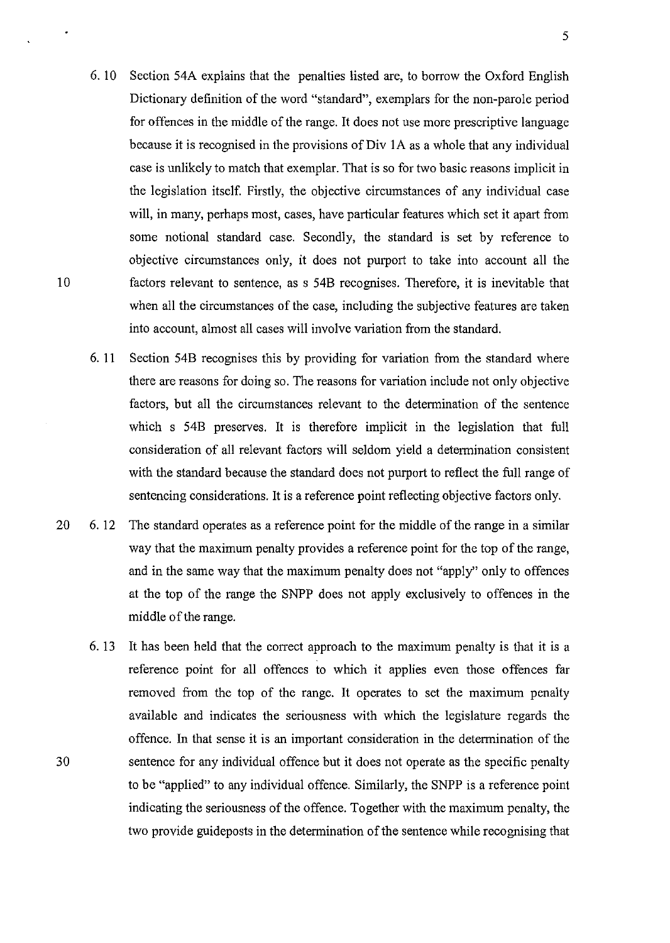- 6. 10 Section 54A explains that the penalties listed are, to borrow the Oxford English Dictionary definition of the word "standard", exemplars for the non-parole period for offences in the middle of the range. It does not use more prescriptive language because it is recognised in the provisions of Div 1A as a whole that any individual case is unlikely to match that exemplar. That is so for two basic reasons implicit in the legislation itself. Firstly, the objective circumstances of any individual case will, in many, perhaps most, cases, have particular features which set it apart from some notional standard case. Secondly, the standard is set by reference to objective circumstances only, it does not purport to take into account all the factors relevant to sentence, as s 54B recognises. Therefore, it is inevitable that when all the circumstances of the case, including the subjective features are taken into account, almost all cases will involve variation from the standard.
- 6. 11 Section 54B recognises this by providing for variation from the standard where there are reasons for doing so. The reasons for variation include not only objective factors, but all the circumstances relevant to the determination of the sentence which s 54B preserves. It is therefore implicit in the legislation that full consideration of all relevant factors will seldom yield a determination consistent with the standard because the standard does not purport to reflect the full range of sentencing considerations. It is a reference point reflecting objective factors only.
- 20 6. 12 The standard operates as a reference point for the middle of the range in a similar way that the maximum penalty provides a reference point for the top of the range, and in the same way that the maximum penalty does not "apply" only to offences at the top of the range the SNPP does not apply exclusively to offences in the middle of the range.
	- 6. 13 It has been held that the correct approach to the maximum penalty is that it is a reference point for all offences to which it applies even those offences far removed from the top of the range. It operates to set the maximum penalty available and indicates the seriousness with which the legislature regards the offence. In that sense it is an important consideration in the determination of the sentence for any individual offence but it does not operate as the specific penalty to be "applied" to any individual offence. Similarly, the SNPP is a reference point indicating the seriousness of the offence. Together with the maximum penalty, the two provide guideposts in the determination of the sentence while recognising that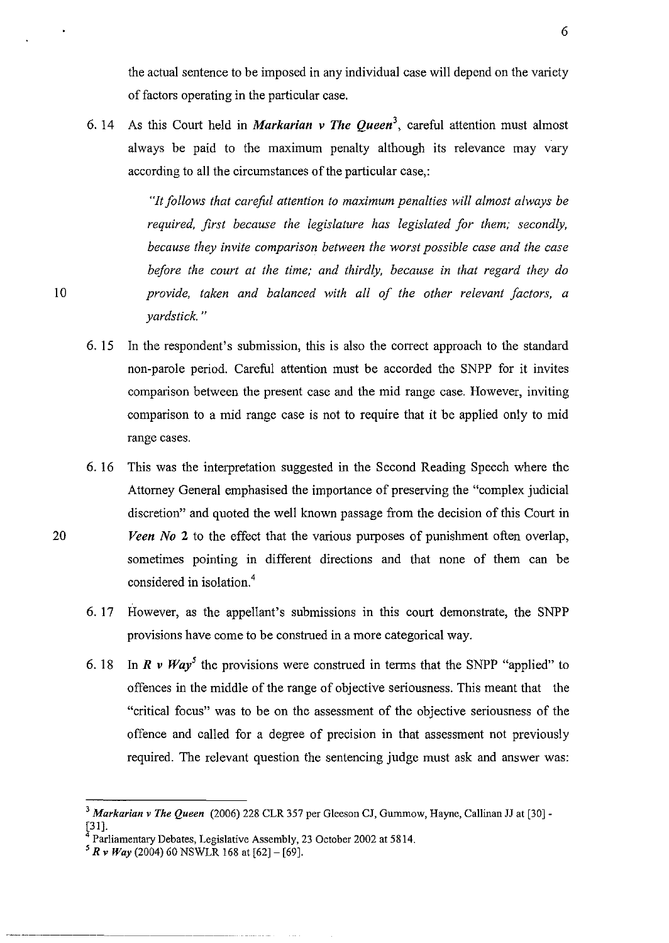the actual sentence to be imposed in any individual case will depend on the variety of factors operating in the particular case.

6. 14 As this Court held in *Markarian v The Queen<sup>3</sup> ,* careful attention must almost always be paid to the maximum penalty although its relevance may vary according to all the circumstances of the particular case,:

> *"It follows that careful attention to maximum penalties will almost always be required, first because the legislature has legislated for them; secondly, because they invite comparison between the worst possible case and the case before the court at the time; and thirdly, because in that regard they do provide, taken and balanced with all of the other relevant factors, a yardstick. "*

- 6.15 In the respondent's submission, this is also the correct approach to the standard non-parole period. Careful attention must be accorded the SNPP for it invites comparison between the present case and the mid range case. However, inviting comparison to a mid range case is not to require that it be applied only to mid range cases.
- 6. 16 This was the interpretation suggested in the Second Reading Speech where the Attorney General emphasised the importance of preserving the "complex judicial discretion" and quoted the well known passage from the decision of this Court in *Veen No* 2 to the effect that the various purposes of punishment often overlap, sometimes pointing in different directions and that none of them can be considered in isolation.<sup>4</sup>
- 6. 17 However, as the appellant's submissions in this court demonstrate, the SNPP provisions have come to be construed in a more categorical way.
- 6. 18 In  $R \nu W a y^5$  the provisions were construed in terms that the SNPP "applied" to offences in the middle of the range of objective seriousness. This meant that the "critical focus" was to be on the assessment of the objective seriousness of the offence and called for a degree of precision in that assessment not previously required. The relevant question the sentencing judge must ask and answer was:

<sup>&</sup>lt;sup>3</sup> Markarian v The Queen (2006) 228 CLR 357 per Gleeson CJ, Gummow, Hayne, Callinan JJ at [30] -[31].

<sup>4</sup> Parliamentary Debates, Legislative Assembly, 23 October 2002 at 5814.

 $5 R v Way$  (2004) 60 NSWLR 168 at [62] – [69].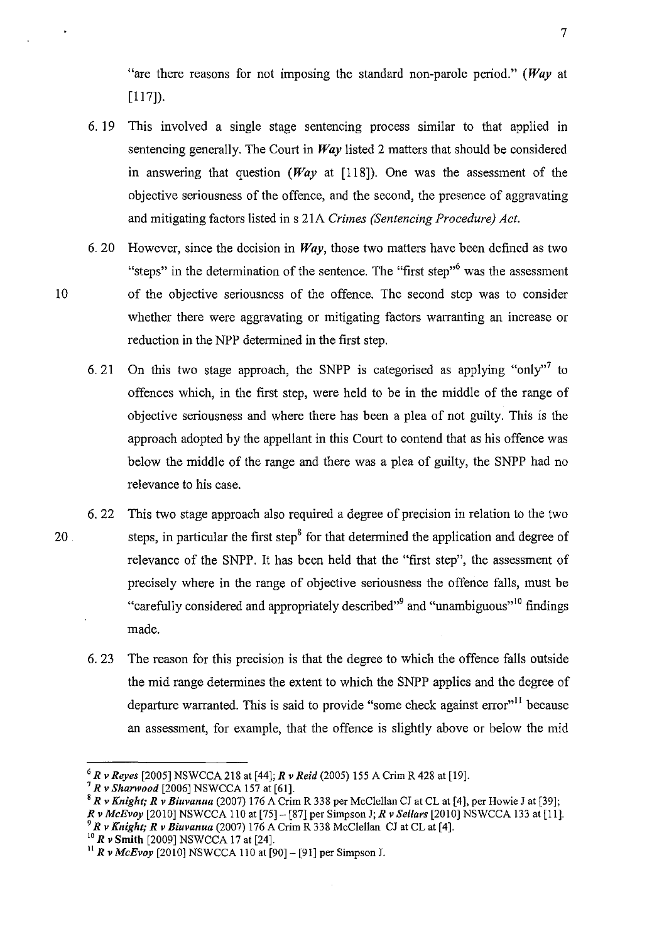"are there reasons for not imposing the standard non-parole period." *(Way* at [117]).

- 6. 19 This involved a single stage sentencing process similar to that applied in sentencing generally. The Court in *Way* listed 2 matters that should be considered in answering that question *(Way* at [118]). One was the assessment of the objective seriousness of the offence, and the second, the presence of aggravating and mitigating factors listed in s 21A *Crimes (Sentencing Procedure) Act.*
- 6. 20 However, since the decision in *Way,* those two matters have been defined as two "steps" in the determination of the sentence. The "first step" was the assessment of the objective seriousness of the offence. The second step was to consider whether there were aggravating or mitigating factors warranting an increase or reduction in the NPP determined in the first step.
- 6. 21 On this two stage approach, the SNPP is categorised as applying "only" to offences which, in the first step, were held to be in the middle of the range of objective seriousness and where there has been a plea of not guilty. This is the approach adopted by the appellant in this Court to contend that as his offence was below the middle of the range and there was a plea of guilty, the SNPP had no relevance to his case.
- 6. 22 This two stage approach also required a degree of precision in relation to the two steps, in particular the first step<sup>8</sup> for that determined the application and degree of relevance of the SNPP. It has been held that the "first step", the assessment of precisely where in the range of objective seriousness the offence falls, must be "carefully considered and appropriately described"<sup>9</sup> and "unambiguous"<sup>10</sup> findings made.
	- 6. 23 The reason for this precision is that the degree to which the offence falls outside the mid range determines the extent to which the SNPP applies and the degree of departure warranted. This is said to provide "some check against error"<sup>11</sup> because an assessment, for example, that the offence is slightly above or below the mid

8 *R v Knight; R v Biuvanua* (2007) 176 A Crim R 338 per McClellan CJ at CL at [4], per Howie J at [39]; *Rv McBvoy* [2010] NSWCCA 110 at [75]- [87] per Simpson J; *Rv Sellars* [2010] NSWCCA 133 at [Ill *9 R v Knight; R v Biuvanua* (2007) 176 A Crim R 338 McClellan CJ at CL at [4].

<sup>10</sup>*R v* **Smith** [2009] NSWCCA 17 at [24].

10

<sup>6</sup>*Rv Reyes* [2005] NSWCCA 218 at [44]; *Rv Reid* (2005) 155 A Crim R 428 at [19].

<sup>7</sup>*Rv Shanvood* [2006] NSWCCA 157 at [61].

<sup>11</sup>*R v McBvoy* [2010] NSWCCA 110 at[90]- [91] per Simpson J.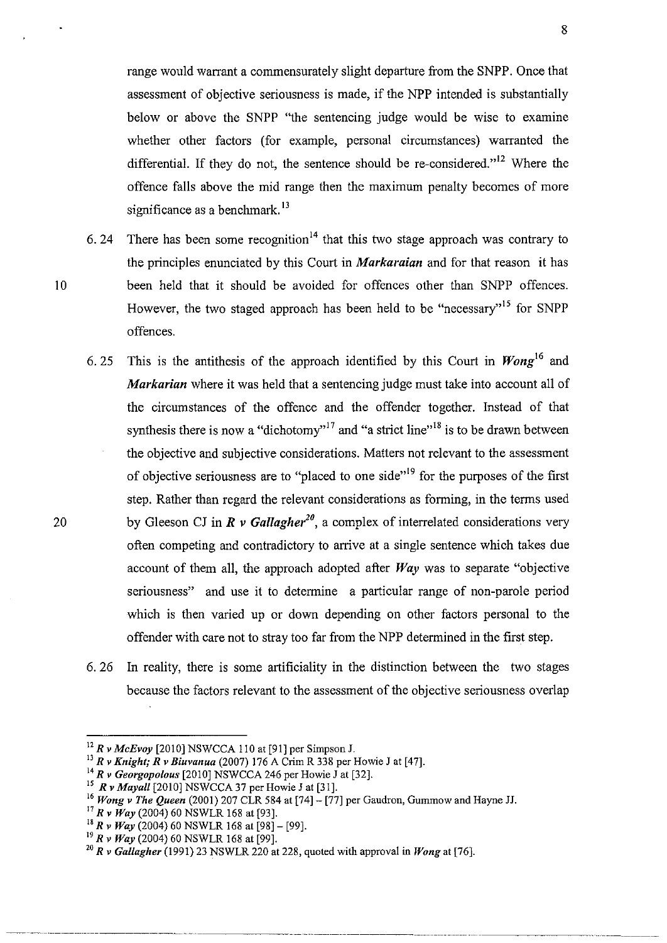range would warrant a commensurately slight departure from the SNPP. Once that assessment of objective seriousness is made, if the NPP intended is substantially below or above the SNPP "the sentencing judge would be wise to examine whether other factors (for example, personal circumstances) warranted the differential. If they do not, the sentence should be re-considered."<sup>12</sup> Where the offence falls above the mid range then the maximum penalty becomes of more significance as a benchmark.<sup>13</sup>

- 6. 24 There has been some recognition<sup>14</sup> that this two stage approach was contrary to the principles enunciated by this Court in *Markaraian* and for that reason it has 10 been held that it should be avoided for offences other than SNPP offences. However, the two staged approach has been held to be "necessary"<sup>15</sup> for SNPP offences.
	- 6.25 This is the antithesis of the approach identified by this Court in *Wong*l6 and *Markarian* where it was held that a sentencing judge must take into account all of the circumstances of the offence and the offender together. Instead of that synthesis there is now a "dichotomy"<sup>17</sup> and "a strict line"<sup>18</sup> is to be drawn between the objective and subjective considerations. Matters not relevant to the assessment of objective seriousness are to "placed to one side"<sup>19</sup> for the purposes of the first step. Rather than regard the relevant considerations as forming, in the terms used by Gleeson CJ in  $\vec{R}$  v Gallagher<sup>20</sup>, a complex of interrelated considerations very often competing and contradictory to arrive at a single sentence which takes due account of them all, the approach adopted after *Way* was to separate "objective seriousness" and use it to determine a particular range of non-parole period which is then varied up or down depending on other factors personal to the offender with care not to stray too far from the NPP determined in the first step.
	- 6. 26 In reality, there is some artificiality in the distinction between the two stages because the factors relevant to the assessment of the objective seriousness overlap

<sup>~</sup>------- --- ----------------- ----- -\_ .. -----------~ --------\_ .. \_--- --------

<sup>12</sup>*R v McEvoy* [2010] NSWCCA 110 at [91] per Simpson J.

<sup>13</sup>*R v Knight; R v Biuvanua* (2007) 176 A Crim R 338 per Howie J at [47].

<sup>14</sup>*Rv Georgopolous* [2010] NSWCCA 246 per Howie J at [32].

<sup>15</sup>*Rv Mayall* [2010] NSWCCA 37 per Howie J at [31].

<sup>16</sup>*Wong v The Queen* (2001) 207 CLR 584 at [74]- [77] per Gaudron, Gummow and Hayne JJ.

<sup>17</sup>*R v Way* (2004) 60 NSWLR 168 at [93].

<sup>&</sup>lt;sup>18</sup>  $\vec{R}$  v  $\vec{W}$ ay (2004) 60 NSWLR 168 at [98] – [99].

<sup>19</sup>*R v Way* (2004) 60 NSWLR 168 at [99].

<sup>20</sup>*Rv GaUagher* (1991) 23 NSWLR 220 at 228, quoted with approval in *Wong* at [76].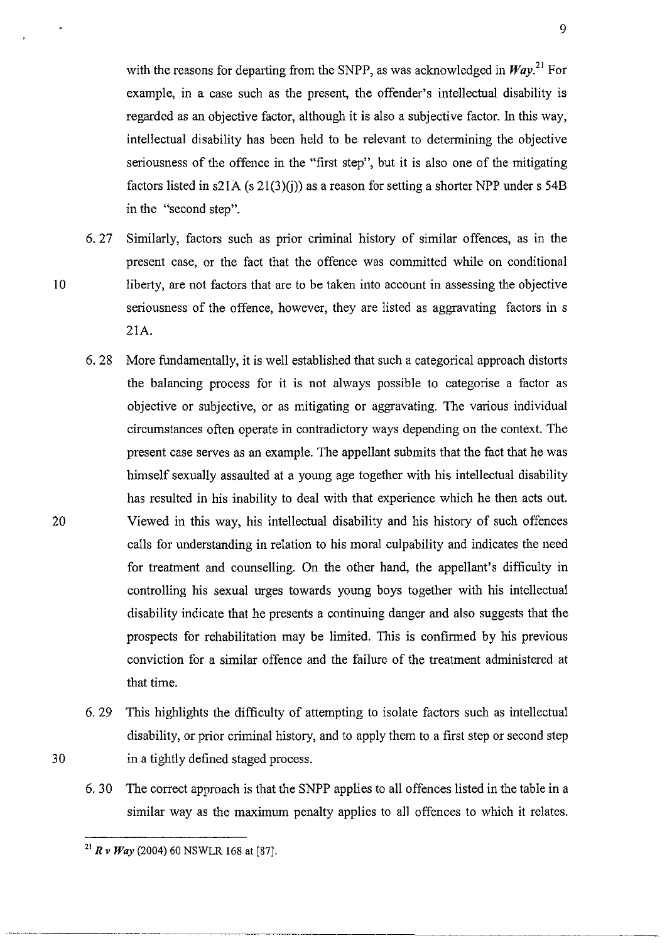with the reasons for departing from the SNPP, as was acknowledged in  $Wav^{21}$  For example, in a case such as the present, the offender's intellectual disability is regarded as an objective factor, although it is also a subjective factor. In this way, intellectual disability has been held to be relevant to determining the objective seriousness of the offence in the "first step", but it is also one of the mitigating factors listed in s21A (s  $21(3)(i)$ ) as a reason for setting a shorter NPP under s 54B in the "second step".

- 6. 27 Similarly, factors such as prior criminal history of similar offences, as in the present case, or the fact that the offence was committed while on conditional liberty, are not factors that are to be taken into account in assessing the objective seriousness of the offence, however, they are listed as aggravating factors in s 21A.
- 6. 28 More fundamentally, it is well established that such a categorical approach distorts the balancing process for it is not always possible to categorise a factor as objective or subjective, or as mitigating or aggravating. The various individual circumstances often operate in contradictory ways depending on the context. The present case serves as an example. The appellant submits that the fact that he was himself sexually assaulted at a young age together with his intellectual disability has resulted in his inability to deal with that experience which he then acts out. Viewed in this way, his intellectual disability and his history of such offences calls for understanding in relation to his moral culpability and indicates the need for treatment and counselling. On the other hand, the appellant's difficulty in controlling his sexual urges towards young boys together with his intellectual disability indicate that he presents a continuing danger and also suggests that the prospects for rehabilitation may be limited. This is confirmed by his previous conviction for a similar offence and the failure of the treatment administered at that time.
- 6. 29 This highlights the difficulty of attempting to isolate factors such as intellectual disability, or prior criminal history, and to apply them to a first step or second step in a tightly defined staged process.
- 6. 30 The correct approach is that the SNPP applies to all offences listed in the table in a similar way as the maximum penalty applies to all offences to which it relates.

----~ .. -.-~ ..• .~~.-.. ---

10

<sup>21</sup>*R v Way* (2004) 60 NSWLR 168 at [87].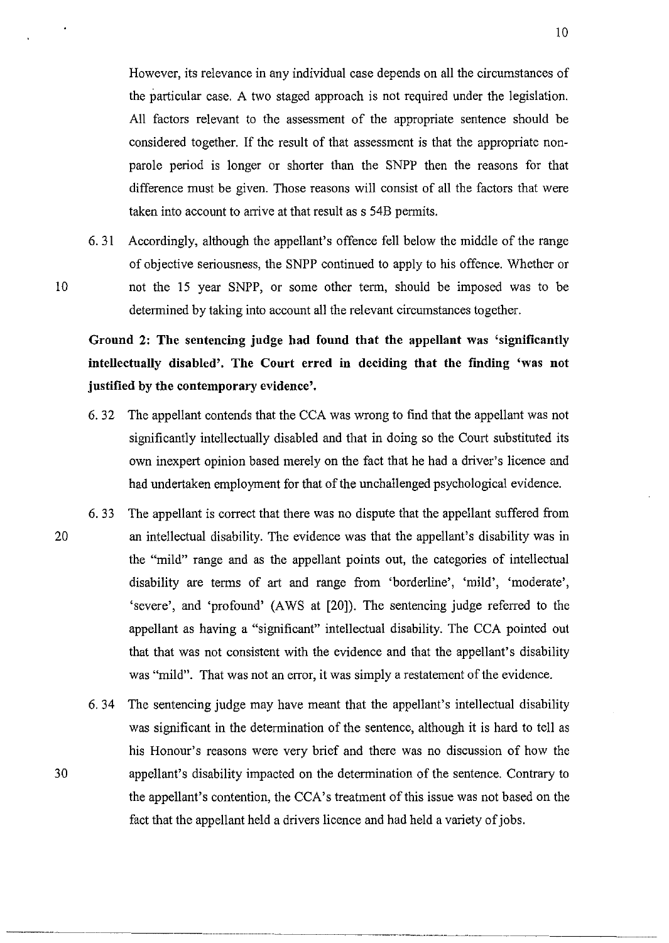However, its relevance in any individual case depends on all the circumstances of the particular case. A two staged approach is not required under the legislation. All factors relevant to the assessment of the appropriate sentence should be considered together. If the result of that assessment is that the appropriate nonparole period is longer or shorter than the SNPP then the reasons for that difference must be given. Those reasons will consist of all the factors that were taken into account to arrive at that result as s 54B permits.

6.31 Accordingly, although the appellant's offence fell below the middle of the range of objective seriousness, the SNPP continued to apply to his offence. Whether or not the IS year SNPP, or some other tenn, should be imposed was to be determined by taking into account all the relevant circumstances together.

Ground 2: The sentencing judge had found that the appellant was 'significantly intellectually disabled'. The Court erred in deciding that the finding 'was not justified by the contemporary evidence'.

- 6. 32 The appellant contends that the CCA was wrong to find that the appellant was not significantly intellectually disabled and that in doing so the Court substituted its own inexpert opinion based merely on the fact that he had a driver's licence and had undertaken employment for that of the unchallenged psychological evidence.
- 6.33 The appellant is correct that there was no dispute that the appellant suffered from 20 an intellectual disability. The evidence was that the appellant's disability was in the "mild" range and as the appellant points out, the categories of intellectual disability are terms of art and range from 'borderline', 'mild', 'moderate', 'severe', and 'profound' (A WS at [20]). The sentencing judge referred to the appellant as having a "significant" intellectual disability. The CCA pointed out that that was not consistent with the evidence and that the appellant's disability was "mild". That was not an error, it was simply a restatement of the evidence.
	- 6. 34 The sentencing judge may have meant that the appellant's intellectual disability was significant in the determination of the sentence, although it is hard to tell as his Honour's reasons were very brief and there was no discussion of how the appellant's disability impacted on the determination of the sentence. Contrary to the appellant's contention, the CCA's treatment of this issue was not based on the fact that the appellant held a drivers licence and had held a variety of jobs.

30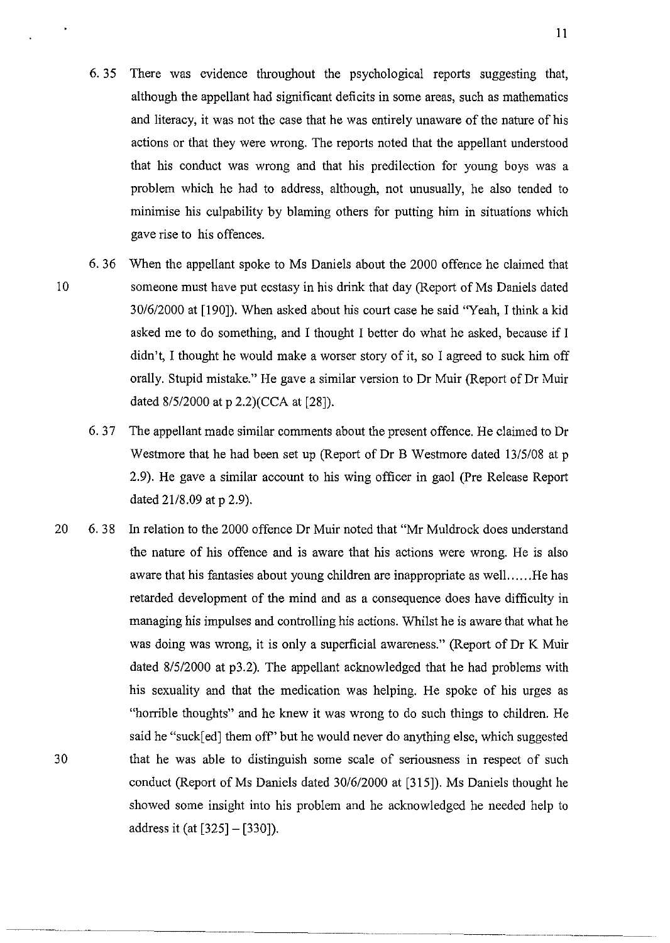6. 35 There was evidence throughout the psychological reports suggesting that, although the appellant had significant deficits in some areas, such as mathematics and literacy, it was not the case that he was entirely unaware of the nature of his actions or that they were wrong. The reports noted that the appellant understood that his conduct was wrong and that his predilection for young boys was a problem which he had to address, although, not unusually, he also tended to minimise his culpability by blaming others for putting him in situations which gave rise to his offences.

10

- 6. 36 When the appellant spoke to Ms Daniels about the 2000 offence he claimed that someone must have put ecstasy in his drink that day (Report of Ms Daniels dated *30/6/2000* at [190]). When asked about his court case he said "Yeah, I think a kid asked me to do something, and I thought I better do what he asked, because if I didn't, I thought he would make a worser story of it, so I agreed to suck him off orally. Stupid mistake." He gave a similar version to Dr Muir (Report of Dr Muir dated *8/5/2000* at p 2.2)(CCA at [28]).
- 6.37 The appellant made similar comments about the present offence. He claimed to Dr Westmore that he had been set up (Report of Dr B Westmore dated *13/5/08* at p 2.9). He gave a similar account to his wing officer in gaol (Pre Release Report dated 21/8.09 at p 2.9).
- 20 6. 38 In relation to the 2000 offence Dr Muir noted that "Mr Muldrock does understand 30 the nature of his offence and is aware that his actions were wrong. He is also aware that his fantasies about young children are inappropriate as well ...... He has retarded development of the mind and as a consequence does have difficulty in managing his impulses and controlling his actions. Whilst he is aware that what he was doing was wrong, it is only a superficial awareness." (Report of Dr K Muir dated *8/5/2000* at p3.2). The appellant acknowledged that he had problems with his sexuality and that the medication was helping. He spoke of his urges as "horrible thoughts" and he knew it was wrong to do such things to children. He said he "suck[ ed] them off" but he would never do anything else, which suggested that he was able to distinguish some scale of seriousness in respect of such conduct (Report of Ms Daniels dated *30/612000* at [315]). Ms Daniels thought he showed some insight into his problem and he acknowledged he needed help to address it (at [325]- [330]).

--------- -~--------------"~------ --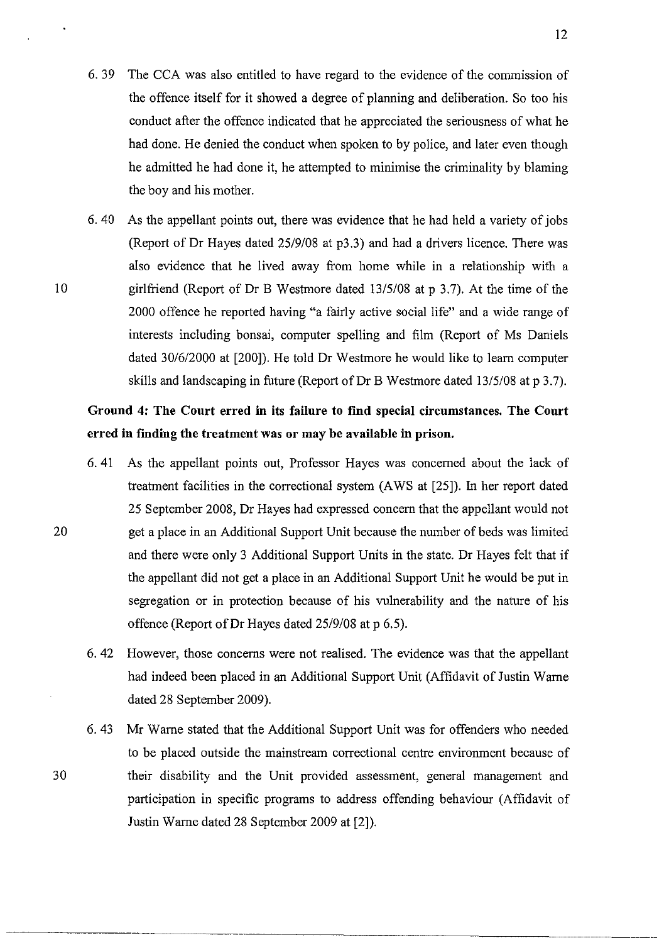- 6. 39 The CCA was also entitled to have regard to the evidence of the commission of the offence itself for it showed a degree of planning and deliberation. So too his conduct after the offence indicated that he appreciated the seriousness of what he had done. He denied the conduct when spoken to by police, and later even though he admitted he had done it, he attempted to minimise the criminality by blaming the boy and his mother.
- 6. 40 As the appellant points out, there was evidence that he had held a variety of jobs (Report of Dr Hayes dated 25/9108 at p3.3) and had a drivers licence. There was also evidence that he lived away from home while in a relationship with a girlfriend (Report of Dr B Westmore dated 13/5/08 at p 3.7). At the time of the 2000 offence he reported having "a fairly active social life" and a wide range of interests including bonsai, computer spelling and film (Report of Ms Daniels dated 30/6/2000 at [200]). He told Dr Westmore he would like to learn computer skills and landscaping in future (Report of Dr B Westmore dated 13/5/08 at p 3.7).

20

30

# Ground 4: The Court erred **in** its failure to **find** special circumstances. The Court erred in finding the treatment was or may be available in prison.

- 6. 41 As the appellant points out, Professor Hayes was concerned about the lack of treatment facilities in the correctional system (A WS at [25]). In her report dated 25 September 2008, Dr Hayes had expressed concern that the appellant would not get a place in an Additional Support Unit because the number of beds was limited and there were only 3 Additional Support Units in the state. Dr Hayes felt that if the appellant did not get a place in an Additional Support Unit he would be put in segregation or in protection because of his vulnerability and the nature of his offence (Report of Dr Hayes dated 25/9/08 at p 6.5).
- 6. 42 However, those concerns were not realised. The evidence was that the appellant had indeed been placed in an Additional Support Unit (Affidavit of Justin Warne dated 28 September 2009).
- 6.43 Mr Warne stated that the Additional Support Unit was for offenders who needed to be placed outside the mainstream correctional centre environment because of their disability and the Unit provided assessment, general management and participation in specific programs to address offending behaviour (Affidavit of Justin Warne dated 28 September 2009 at [2]).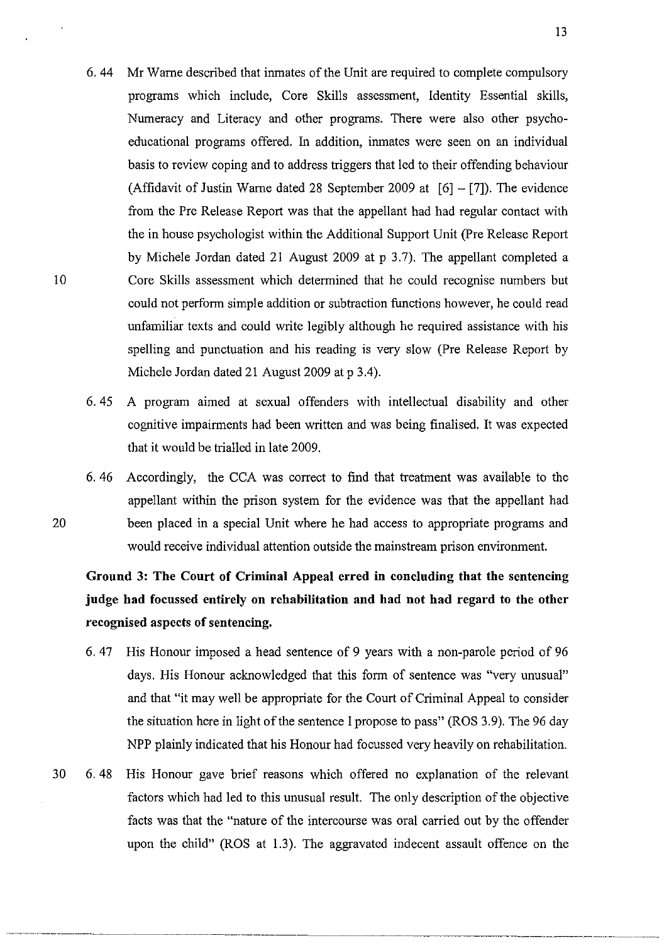6.44 Mr Wame described that inmates of the Unit are required to complete compulsory programs which include, Core Skills assessment, Identity Essential skills, Numeracy and Literacy and other programs. There were also other psychoeducational programs offered. In addition, inmates were seen on an individual basis to review coping and to address triggers that led to their offending behaviour (Affidavit of Justin Warne dated 28 September 2009 at  $[6] - [7]$ ). The evidence from the Pre Release Report was that the appellant had had regular contact with the in house psychologist within the Additional Support Unit (Pre Release Report by Michele Jordan dated 21 August 2009 at p 3.7). The appellant completed a Core Skills assessment which determined that he could recognise numbers but could not perform simple addition or subtraction functions however, he could read unfamiliar texts and could write legibly although he required assistance with his spelling and punctuation and his reading is very slow (Pre Release Report by Michele Jordan dated 21 August 2009 at p 3.4).

10

20

- 6. 45 A program aimed at sexual offenders with intellectual disability and other cognitive impairments had been written and was being finalised. It was expected that it would be trialled in late 2009.
- 6. 46 Accordingly, the CCA was correct to find that treatment was available to the appellant within the prison system for the evidence was that the appellant had been placed in a special Unit where he had access to appropriate programs and would receive individual attention outside the mainstream prison environment.

Ground 3: The Court of Criminal Appeal erred in concluding that the sentencing judge had focussed entirely on rehabilitation and had not had regard to the other recognised aspects of sentencing.

- 6. 47 His Honour imposed a head sentence of 9 years with a non-parole period of 96 days. His Honour acknowledged that this form of sentence was "very unusual" and that "it may well be appropriate for the Court of Criminal Appeal to consider the situation here in light of the sentence I propose to pass" (ROS 3.9). The 96 day NPP plainly indicated that his Honour had focussed very heavily on rehabilitation.
- 30 6. 48 His Honour gave brief reasons which offered no explanation of the relevant factors which had led to this unusual result. The only description of the objective facts was that the "nature of the intercourse was oral carried out by the offender upon the child" (ROS at 1.3). The aggravated indecent assault offence on the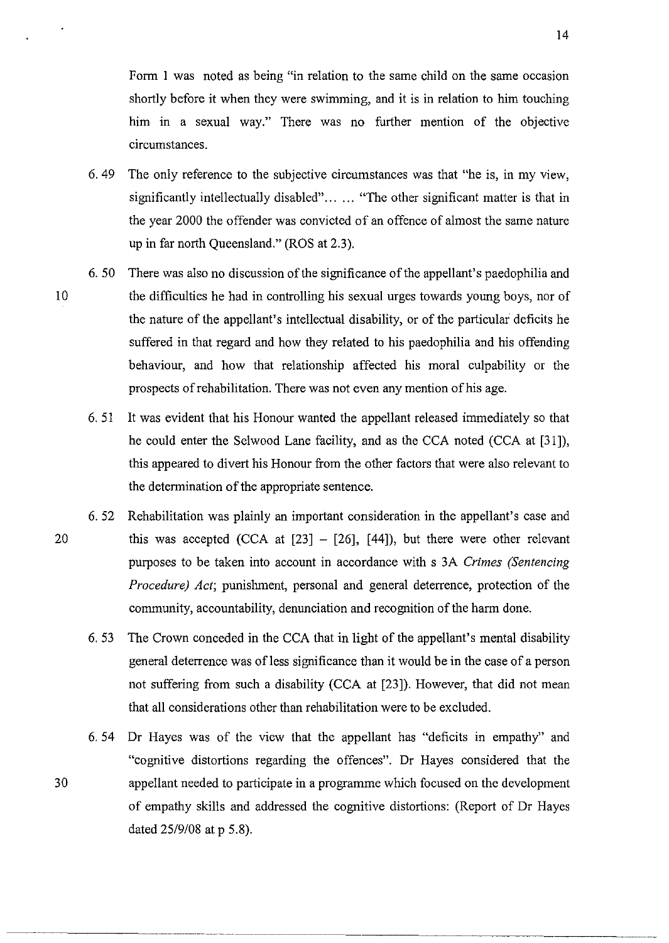Form 1 was noted as being "in relation to the same child on the same occasion shortly before it when they were swimming, and it is in relation to him touching him in a sexual way." There was no further mention of the objective circumstances.

- 6. 49 The only reference to the subjective circumstances was that "he is, in my view, significantly intellectually disabled"... ... "The other significant matter is that in the year 2000 the offender was convicted of an offence of almost the same nature up in far north Queensland." (ROS at 2.3).
- 10 6.50 There was also no discussion of the significance of the appellant's paedophilia and the difficulties he had in controlling his sexual urges towards young boys, nor of the nature of the appellant's intellectual disability, or of the particular deficits he suffered in that regard and how they related to his paedophilia and his offending behaviour, and how that relationship affected his moral culpability or the prospects of rehabilitation. There was not even any mention of his age.
	- 6. 51 It was evident that his Honour wanted the appellant released immediately so that he could enter the Selwood Lane facility, and as the CCA noted (CCA at [31]), this appeared to divert his Honour from the other factors that were also relevant to the detennination of the appropriate sentence.
- 6. 52 Rehabilitation was plainly an important consideration in the appellant's case and 20 this was accepted (CCA at  $[23] - [26]$ ,  $[44]$ ), but there were other relevant purposes to be taken into account in accordance with s 3A *Crimes (Sentencing Procedure) Act;* punishment, personal and general deterrence, protection of the community, accountability, denunciation and recognition of the harm done.
	- 6. 53 The Crown conceded in the CCA that in light of the appellant's mental disability general deterrence was of less significance than it would be in the case of a person not suffering from such a disability (CCA at [23]). However, that did not mean that all considerations other than rehabilitation were to be excluded.
	- 6. 54 Dr Hayes was of the view that the appellant has "deficits in empathy" and "cognitive distortions regarding the offences". Dr Hayes considered that the appellant needed to participate in a programme which focused on the development of empathy skills and addressed the cognitive distortions: (Report of Dr Hayes dated 25/9/08 at p 5.8).

14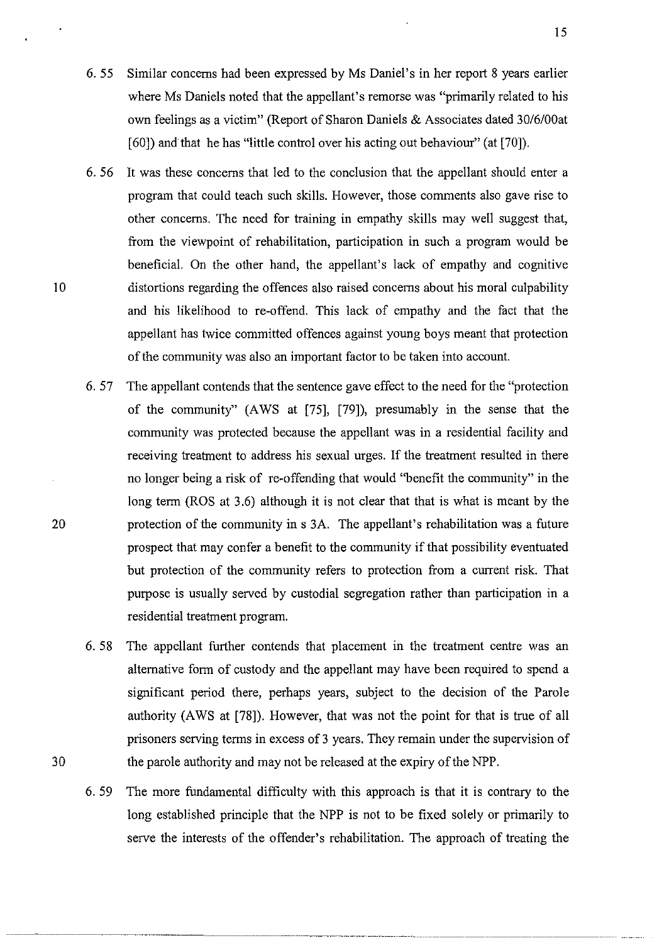- 6. 55 Similar concerns had been expressed by Ms Daniel's in her report 8 years earlier where Ms Daniels noted that the appellant's remorse was "primarily related to his own feelings as a victim" (Report of Sharon Daniels & Associates dated 30/6/00at [60]) and that he has "little control over his acting out behaviour" (at [70]).
- 6. 56 It was these concerns that led to the conclusion that the appellant should enter a program that could teach such skills. However, those comments also gave rise to other concerns. The need for training in empathy skills may well suggest that, from the viewpoint of rehabilitation, participation in such a program would be beneficial. On the other hand, the appellant's lack of empathy and cognitive distortions regarding the offences also raised concerns about his moral culpability and his likelihood to re-offend. This lack of empathy and the fact that the appellant has twice committed offences against young boys meant that protection of the community was also an important factor to be taken into account.
- 6. 57 The appellant contends that the sentence gave effect to the need for the "protection of the community" (A WS at [75], [79]), presumably in the sense that the community was protected because the appellant was in a residential facility and receiving treatment to address his sexual urges. If the treatment resulted in there no longer being a risk of re-offending that would "benefit the community" in the long term (ROS at 3.6) although it is not clear that that is what is meant by the protection of the community in s 3A. The appellant's rehabilitation was a future prospect that may confer a benefit to the community if that possibility eventuated but protection of the community refers to protection from a current risk. That purpose is usually served by custodial segregation rather than participation in a residential treatment program.
- 6. 58 The appellant further contends that placement in the treatment centre was an alternative form of custody and the appellant may have been required to spend a significant period there, perhaps years, subject to the decision of the Parole authority (A WS at [78]). However, that was not the point for that is true of all prisoners serving terms in excess of 3 years. They remain under the supervision of 30 the parole authority and may not be released at the expiry of the NPP.
	- 6. 59 The more fundamental difficulty with this approach is that it is contrary to the long established principle that the NPP is not to be fixed solely or primarily to serve the interests of the offender's rehabilitation. The approach of treating the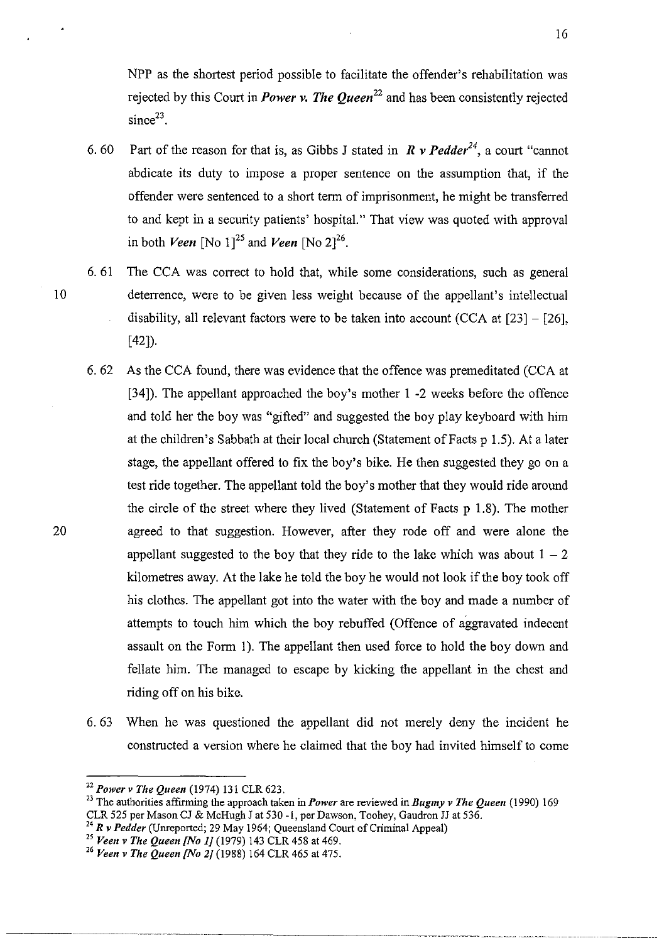NPP as the shortest period possible to facilitate the offender's rehabilitation was rejected by this Court in *Power v. The Queen<sup>22</sup>*and has been consistently rejected  $since<sup>23</sup>$ .

- 6. 60 Part of the reason for that is, as Gibbs J stated in  $\mathbb{R}$  v Pedder<sup>24</sup>, a court "cannot" abdicate its duty to impose a proper sentence on the assumption that, if the offender were sentenced to a short term of imprisonment, he might be transferred to and kept in a security patients' hospital." That view was quoted with approval in both *Veen* [No 1]<sup>25</sup> and *Veen* [No 2]<sup>26</sup>.
- 6. 61 The CCA was correct to hold that, while some considerations, such as general 10 deterrence, were to be given less weight because of the appellant's intellectual disability, all relevant factors were to be taken into account  $(CCA \t{at} [23] - [26]$ , [42]).
	- 6. 62 As the CCA found, there was evidence that the offence was premeditated (CCA at [34]). The appellant approached the boy's mother I -2 weeks before the offence and told her the boy was "gifted" and suggested the boy play keyboard with him at the children's Sabbath at their local church (Statement of Facts p 1.5). At a later stage, the appellant offered to fix the boy's bike. He then suggested they go on a test ride together. The appellant told the boy's mother that they would ride around the circle of the street where they lived (Statement of Facts p 1.8). The mother agreed to that suggestion. However, after they rode off and were alone the appellant suggested to the boy that they ride to the lake which was about  $1 - 2$ kilometres away. At the lake he told the boy he would not look if the boy took off his clothes. The appellant got into the water with the boy and made a number of attempts to touch him which the boy rebuffed (Offence of aggravated indecent assault on the Form 1). The appellant then used force to hold the boy down and fellate him. The managed to escape by kicking the appellant in the chest and riding off on his bike.
	- 6. 63 When he was questioned the appellant did not merely deny the incident he constructed a version where he claimed that the boy had invited himself to come

-------\_ .. \_----\_ .... \_----.. -.--...•. --.. \_ ............... \_ ....... \_.-. ....... \_ ..

<sup>22</sup>*Power v The Queen* (1974) 131 CLR 623.

<sup>&</sup>lt;sup>23</sup> The authorities affirming the approach taken in *Power* are reviewed in *Bugmy v The Queen* (1990) 169 CLR 525 per Mason Cl & McHugh 1 at 530 -1, per Dawson, Toohey, Gaudron 11 at 536.

<sup>24</sup>*Rv Pedder* (Unreported; 29 May 1964; Queensland Court of Criminal Appeal)

<sup>25</sup>*Veen v The Queen {No IJ* (1979) 143 CLR 458 at 469.

<sup>26</sup>*Veen v The Queen {No 2J* (1988) 164 CLR 465 at 475.